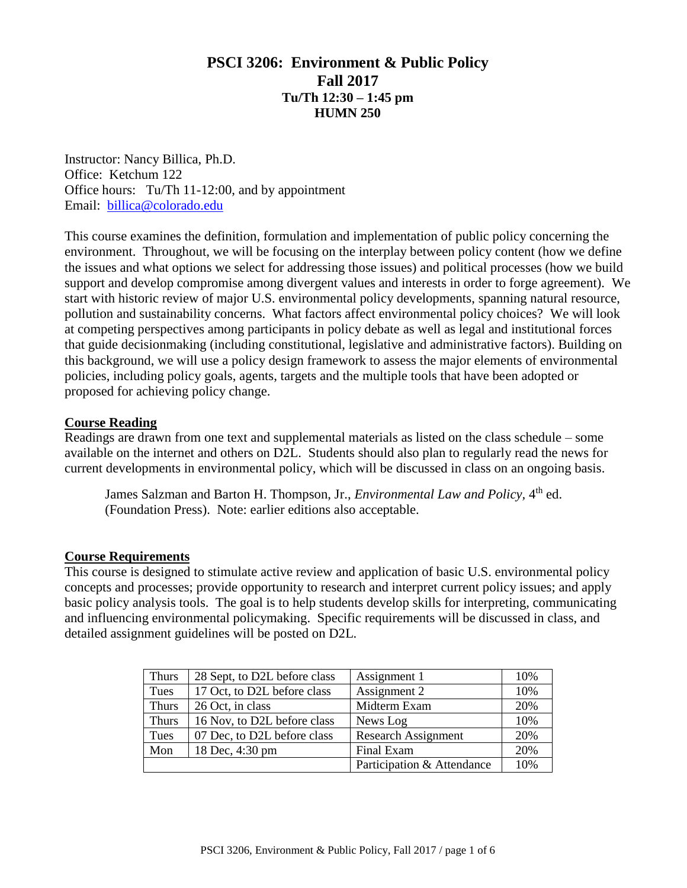## **PSCI 3206: Environment & Public Policy Fall 2017 Tu/Th 12:30 – 1:45 pm HUMN 250**

Instructor: Nancy Billica, Ph.D. Office: Ketchum 122 Office hours: Tu/Th 11-12:00, and by appointment Email: [billica@colorado.edu](mailto:billica@colorado.edu)

This course examines the definition, formulation and implementation of public policy concerning the environment. Throughout, we will be focusing on the interplay between policy content (how we define the issues and what options we select for addressing those issues) and political processes (how we build support and develop compromise among divergent values and interests in order to forge agreement). We start with historic review of major U.S. environmental policy developments, spanning natural resource, pollution and sustainability concerns. What factors affect environmental policy choices? We will look at competing perspectives among participants in policy debate as well as legal and institutional forces that guide decisionmaking (including constitutional, legislative and administrative factors). Building on this background, we will use a policy design framework to assess the major elements of environmental policies, including policy goals, agents, targets and the multiple tools that have been adopted or proposed for achieving policy change.

## **Course Reading**

Readings are drawn from one text and supplemental materials as listed on the class schedule – some available on the internet and others on D2L. Students should also plan to regularly read the news for current developments in environmental policy, which will be discussed in class on an ongoing basis.

James Salzman and Barton H. Thompson, Jr., *Environmental Law and Policy*, 4<sup>th</sup> ed. (Foundation Press). Note: earlier editions also acceptable.

## **Course Requirements**

This course is designed to stimulate active review and application of basic U.S. environmental policy concepts and processes; provide opportunity to research and interpret current policy issues; and apply basic policy analysis tools. The goal is to help students develop skills for interpreting, communicating and influencing environmental policymaking. Specific requirements will be discussed in class, and detailed assignment guidelines will be posted on D2L.

| <b>Thurs</b> | 28 Sept, to D2L before class | Assignment 1               | 10% |
|--------------|------------------------------|----------------------------|-----|
| Tues         | 17 Oct, to D2L before class  | Assignment 2               | 10% |
| <b>Thurs</b> | 26 Oct, in class             | Midterm Exam               | 20% |
| <b>Thurs</b> | 16 Nov, to D2L before class  | News Log                   | 10% |
| Tues         | 07 Dec, to D2L before class  | <b>Research Assignment</b> | 20% |
| Mon          | 18 Dec, 4:30 pm              | Final Exam                 | 20% |
|              |                              | Participation & Attendance | 10% |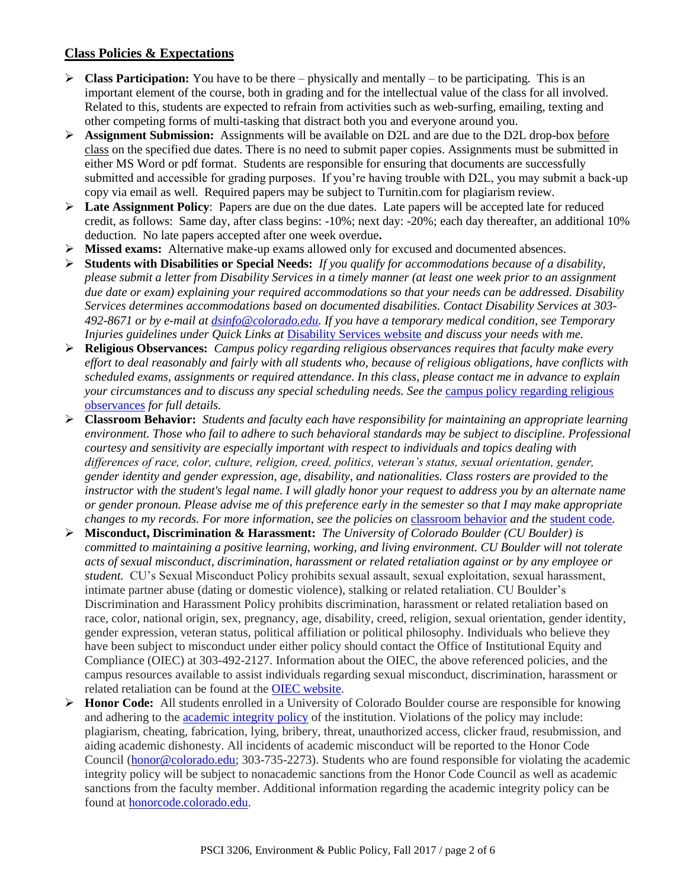## **Class Policies & Expectations**

- **Class Participation:** You have to be there physically and mentally to be participating. This is an important element of the course, both in grading and for the intellectual value of the class for all involved. Related to this, students are expected to refrain from activities such as web-surfing, emailing, texting and other competing forms of multi-tasking that distract both you and everyone around you.
- **Assignment Submission:** Assignments will be available on D2L and are due to the D2L drop-box before class on the specified due dates. There is no need to submit paper copies. Assignments must be submitted in either MS Word or pdf format. Students are responsible for ensuring that documents are successfully submitted and accessible for grading purposes. If you're having trouble with D2L, you may submit a back-up copy via email as well. Required papers may be subject to Turnitin.com for plagiarism review.
- ► Late Assignment Policy: Papers are due on the due dates. Late papers will be accepted late for reduced credit, as follows: Same day, after class begins: -10%; next day: -20%; each day thereafter, an additional 10% deduction. No late papers accepted after one week overdue**.**
- **Missed exams:** Alternative make-up exams allowed only for excused and documented absences.
- **Students with Disabilities or Special Needs:** *If you qualify for accommodations because of a disability, please submit a letter from Disability Services in a timely manner (at least one week prior to an assignment due date or exam) explaining your required accommodations so that your needs can be addressed. Disability Services determines accommodations based on documented disabilities. Contact Disability Services at 303- 492-8671 or by e-mail at [dsinfo@colorado.edu.](https://exchangeweb.colorado.edu/owa/redir.aspx?C=aVVMzThhmEieBX-i851PNL6DsUlJw89IFKltXO0r8ia1uqXjBlsATc1Iq2X1lmLTzaQvbet3VFg.&URL=mailto%3adsinfo%40colorado.edu) If you have a temporary medical condition, see Temporary Injuries guidelines under Quick Links at* [Disability Services website](http://www.colorado.edu/disabilityservices/) *and discuss your needs with me.*
- **Religious Observances:** *Campus policy regarding religious observances requires that faculty make every effort to deal reasonably and fairly with all students who, because of religious obligations, have conflicts with scheduled exams, assignments or required attendance. In this class, please contact me in advance to explain*  your circumstances and to discuss any special scheduling needs. See the campus policy regarding religious [observances](http://www.colorado.edu/policies/observance-religious-holidays-and-absences-classes-andor-exams) *for full details.*
- **Classroom Behavior:** *Students and faculty each have responsibility for maintaining an appropriate learning*  environment. Those who fail to adhere to such behavioral standards may be subject to discipline. Professional *courtesy and sensitivity are especially important with respect to individuals and topics dealing with differences of race, color, culture, religion, creed, politics, veteran's status, sexual orientation, gender, gender identity and gender expression, age, disability, and nationalities. Class rosters are provided to the instructor with the student's legal name. I will gladly honor your request to address you by an alternate name or gender pronoun. Please advise me of this preference early in the semester so that I may make appropriate changes to my records. For more information, see the policies on [classroom behavior](http://www.colorado.edu/policies/student-classroom-and-course-related-behavior) and the [student code](http://www.colorado.edu/osccr/sites/default/files/attached-files/studentconductcode_16-17-a.pdf).*
- **Misconduct, Discrimination & Harassment:** *The University of Colorado Boulder (CU Boulder) is committed to maintaining a positive learning, working, and living environment. CU Boulder will not tolerate acts of sexual misconduct, discrimination, harassment or related retaliation against or by any employee or student.* CU's Sexual Misconduct Policy prohibits sexual assault, sexual exploitation, sexual harassment, intimate partner abuse (dating or domestic violence), stalking or related retaliation. CU Boulder's Discrimination and Harassment Policy prohibits discrimination, harassment or related retaliation based on race, color, national origin, sex, pregnancy, age, disability, creed, religion, sexual orientation, gender identity, gender expression, veteran status, political affiliation or political philosophy. Individuals who believe they have been subject to misconduct under either policy should contact the Office of Institutional Equity and Compliance (OIEC) at 303-492-2127. Information about the OIEC, the above referenced policies, and the campus resources available to assist individuals regarding sexual misconduct, discrimination, harassment or related retaliation can be found at the [OIEC website.](http://click.communications.cu.edu/?qs=39c6bbe8c82a1d732054f117957d802dbfa206c70b1c5b513de173845a0d232cb5cf342b4ed5b660)
- **Honor Code:** All students enrolled in a University of Colorado Boulder course are responsible for knowing and adhering to the *[academic integrity policy](http://click.communications.cu.edu/?qs=39c6bbe8c82a1d73693839a46cfb5f41742794e4c28c3b7dd19eb84551b996198a4e1f0aff52671f)* of the institution. Violations of the policy may include: plagiarism, cheating, fabrication, lying, bribery, threat, unauthorized access, clicker fraud, resubmission, and aiding academic dishonesty. All incidents of academic misconduct will be reported to the Honor Code Council [\(honor@colorado.edu;](mailto:honor@colorado.edu) 303-735-2273). Students who are found responsible for violating the academic integrity policy will be subject to nonacademic sanctions from the Honor Code Council as well as academic sanctions from the faculty member. Additional information regarding the academic integrity policy can be found at [honorcode.colorado.edu.](http://click.communications.cu.edu/?qs=39c6bbe8c82a1d734c73bf7d0e93d76ec728149ce2b1716d92fb8ad4a84306dc5bbde4e942ff9527)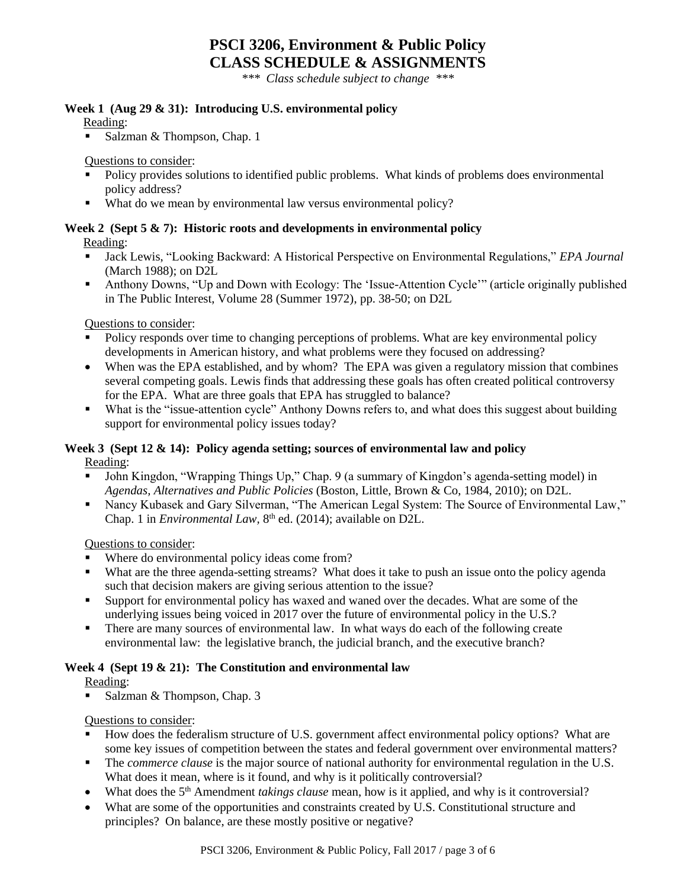## **PSCI 3206, Environment & Public Policy CLASS SCHEDULE & ASSIGNMENTS**

*\*\*\* Class schedule subject to change \*\*\**

#### **Week 1 (Aug 29 & 31): Introducing U.S. environmental policy**

Reading:

Salzman & Thompson, Chap. 1

Questions to consider:

- Policy provides solutions to identified public problems. What kinds of problems does environmental policy address?
- What do we mean by environmental law versus environmental policy?

## **Week 2 (Sept 5 & 7): Historic roots and developments in environmental policy**

Reading:

- Jack Lewis, "Looking Backward: A Historical Perspective on Environmental Regulations," *EPA Journal*  (March 1988); on D2L
- Anthony Downs, "Up and Down with Ecology: The 'Issue-Attention Cycle'" (article originally published in The Public Interest, Volume 28 (Summer 1972), pp. 38-50; on D2L

Questions to consider:

- Policy responds over time to changing perceptions of problems. What are key environmental policy developments in American history, and what problems were they focused on addressing?
- When was the EPA established, and by whom? The EPA was given a regulatory mission that combines several competing goals. Lewis finds that addressing these goals has often created political controversy for the EPA. What are three goals that EPA has struggled to balance?
- What is the "issue-attention cycle" Anthony Downs refers to, and what does this suggest about building support for environmental policy issues today?

#### **Week 3 (Sept 12 & 14): Policy agenda setting; sources of environmental law and policy** Reading:

- John Kingdon, "Wrapping Things Up," Chap. 9 (a summary of Kingdon's agenda-setting model) in *Agendas, Alternatives and Public Policies* (Boston, Little, Brown & Co, 1984, 2010); on D2L.
- Nancy Kubasek and Gary Silverman, "The American Legal System: The Source of Environmental Law," Chap. 1 in *Environmental Law*, 8<sup>th</sup> ed. (2014); available on D2L.

Questions to consider:

- Where do environmental policy ideas come from?
- What are the three agenda-setting streams? What does it take to push an issue onto the policy agenda such that decision makers are giving serious attention to the issue?
- Support for environmental policy has waxed and waned over the decades. What are some of the underlying issues being voiced in 2017 over the future of environmental policy in the U.S.?
- There are many sources of environmental law. In what ways do each of the following create environmental law: the legislative branch, the judicial branch, and the executive branch?

## **Week 4 (Sept 19 & 21): The Constitution and environmental law**

#### Reading:

Salzman & Thompson, Chap. 3

Questions to consider:

- How does the federalism structure of U.S. government affect environmental policy options? What are some key issues of competition between the states and federal government over environmental matters?
- The *commerce clause* is the major source of national authority for environmental regulation in the U.S. What does it mean, where is it found, and why is it politically controversial?
- What does the 5<sup>th</sup> Amendment *takings clause* mean, how is it applied, and why is it controversial?
- What are some of the opportunities and constraints created by U.S. Constitutional structure and principles? On balance, are these mostly positive or negative?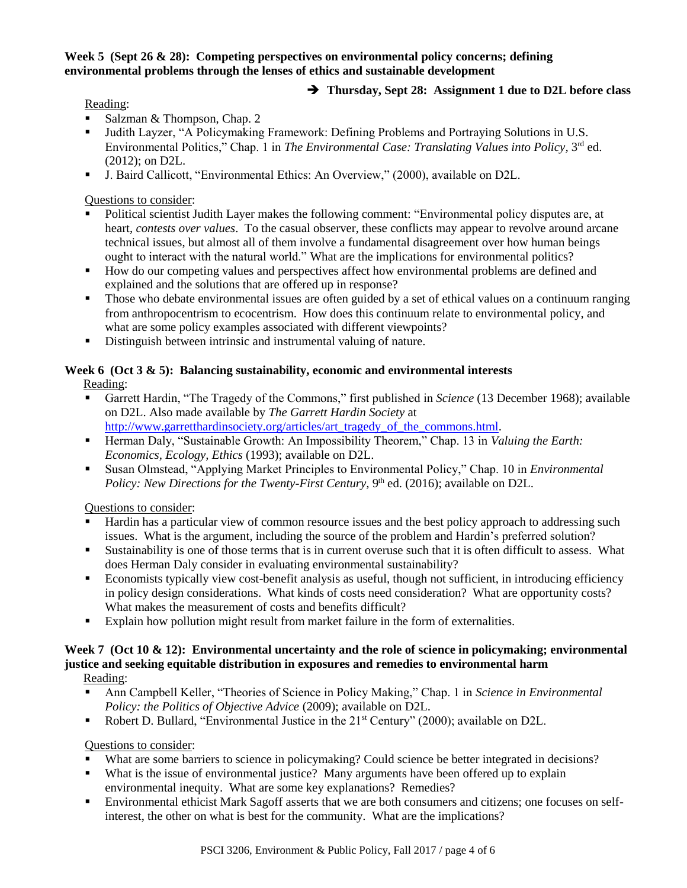## **Week 5 (Sept 26 & 28): Competing perspectives on environmental policy concerns; defining environmental problems through the lenses of ethics and sustainable development**

## **Thursday, Sept 28: Assignment 1 due to D2L before class**

#### Reading:

- Salzman & Thompson, Chap. 2
- Judith Layzer, "A Policymaking Framework: Defining Problems and Portraying Solutions in U.S. Environmental Politics," Chap. 1 in *The Environmental Case: Translating Values into Policy*, 3<sup>rd</sup> ed. (2012); on D2L.
- J. Baird Callicott, "Environmental Ethics: An Overview," (2000), available on D2L.

#### Questions to consider:

- Political scientist Judith Layer makes the following comment: "Environmental policy disputes are, at heart, *contests over values*. To the casual observer, these conflicts may appear to revolve around arcane technical issues, but almost all of them involve a fundamental disagreement over how human beings ought to interact with the natural world." What are the implications for environmental politics?
- How do our competing values and perspectives affect how environmental problems are defined and explained and the solutions that are offered up in response?
- Those who debate environmental issues are often guided by a set of ethical values on a continuum ranging from anthropocentrism to ecocentrism. How does this continuum relate to environmental policy, and what are some policy examples associated with different viewpoints?
- Distinguish between intrinsic and instrumental valuing of nature.

# **Week 6 (Oct 3 & 5): Balancing sustainability, economic and environmental interests**

## Reading:

- Garrett Hardin, "The Tragedy of the Commons," first published in *Science* (13 December 1968); available on D2L. Also made available by *The Garrett Hardin Society* at [http://www.garretthardinsociety.org/articles/art\\_tragedy\\_of\\_the\\_commons.html.](http://www.garretthardinsociety.org/articles/art_tragedy_of_the_commons.html)
- Herman Daly, "Sustainable Growth: An Impossibility Theorem," Chap. 13 in *Valuing the Earth: Economics, Ecology, Ethics* (1993); available on D2L.
- Susan Olmstead, "Applying Market Principles to Environmental Policy," Chap. 10 in *Environmental*  Policy: New Directions for the Twenty-First Century, 9<sup>th</sup> ed. (2016); available on D2L.

## Questions to consider:

- Hardin has a particular view of common resource issues and the best policy approach to addressing such issues. What is the argument, including the source of the problem and Hardin's preferred solution?
- Sustainability is one of those terms that is in current overuse such that it is often difficult to assess. What does Herman Daly consider in evaluating environmental sustainability?
- Economists typically view cost-benefit analysis as useful, though not sufficient, in introducing efficiency in policy design considerations. What kinds of costs need consideration? What are opportunity costs? What makes the measurement of costs and benefits difficult?
- Explain how pollution might result from market failure in the form of externalities.

## **Week 7 (Oct 10 & 12): Environmental uncertainty and the role of science in policymaking; environmental justice and seeking equitable distribution in exposures and remedies to environmental harm**

Reading:

- Ann Campbell Keller, "Theories of Science in Policy Making," Chap. 1 in *Science in Environmental Policy: the Politics of Objective Advice (2009); available on D2L.*
- Robert D. Bullard, "Environmental Justice in the 21<sup>st</sup> Century" (2000); available on D2L.

## Questions to consider:

- What are some barriers to science in policymaking? Could science be better integrated in decisions?
- What is the issue of environmental justice? Many arguments have been offered up to explain environmental inequity. What are some key explanations? Remedies?
- Environmental ethicist Mark Sagoff asserts that we are both consumers and citizens; one focuses on selfinterest, the other on what is best for the community. What are the implications?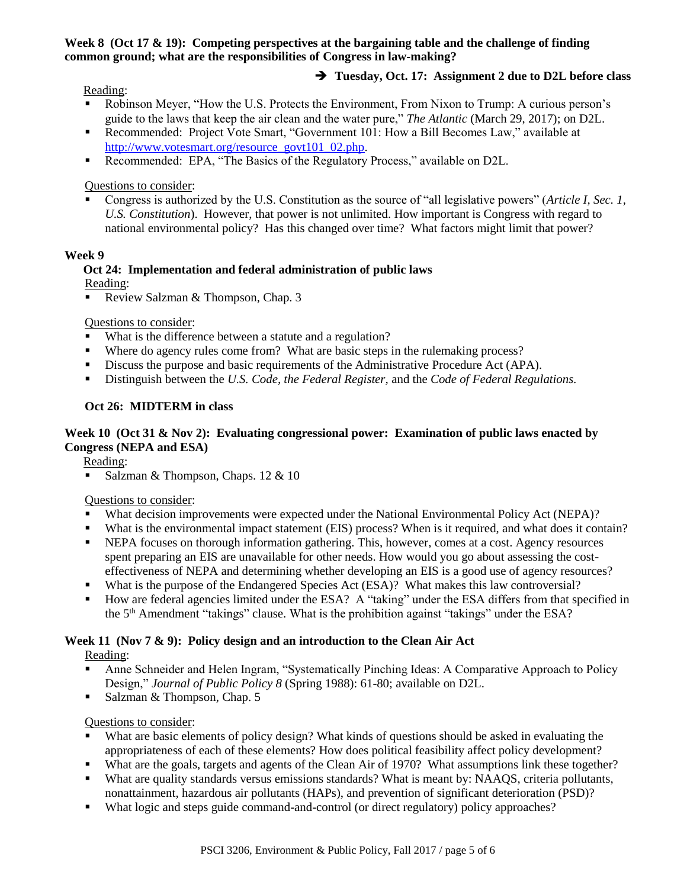#### **Week 8 (Oct 17 & 19): Competing perspectives at the bargaining table and the challenge of finding common ground; what are the responsibilities of Congress in law-making?**

#### Reading:

## **Tuesday, Oct. 17: Assignment 2 due to D2L before class**

- Robinson Meyer, "How the U.S. Protects the Environment, From Nixon to Trump: A curious person's guide to the laws that keep the air clean and the water pure," *The Atlantic* (March 29, 2017); on D2L.
- Recommended: Project Vote Smart, "Government 101: How a Bill Becomes Law," available at [http://www.votesmart.org/resource\\_govt101\\_02.php.](http://www.votesmart.org/resource_govt101_02.php)
- Recommended: EPA, "The Basics of the Regulatory Process," available on D2L.

#### Questions to consider:

 Congress is authorized by the U.S. Constitution as the source of "all legislative powers" (*Article I, Sec. 1, U.S. Constitution*). However, that power is not unlimited. How important is Congress with regard to national environmental policy? Has this changed over time? What factors might limit that power?

#### **Week 9**

#### **Oct 24: Implementation and federal administration of public laws** Reading:

Review Salzman & Thompson, Chap. 3

Questions to consider:

- What is the difference between a statute and a regulation?
- Where do agency rules come from? What are basic steps in the rulemaking process?
- Discuss the purpose and basic requirements of the Administrative Procedure Act (APA).
- Distinguish between the *U.S. Code, the Federal Register,* and the *Code of Federal Regulations.*

#### **Oct 26: MIDTERM in class**

#### **Week 10 (Oct 31 & Nov 2): Evaluating congressional power: Examination of public laws enacted by Congress (NEPA and ESA)**

Reading:

Salzman & Thompson, Chaps. 12 & 10

## Questions to consider:

- What decision improvements were expected under the National Environmental Policy Act (NEPA)?
- What is the environmental impact statement (EIS) process? When is it required, and what does it contain?
- **NEPA** focuses on thorough information gathering. This, however, comes at a cost. Agency resources spent preparing an EIS are unavailable for other needs. How would you go about assessing the costeffectiveness of NEPA and determining whether developing an EIS is a good use of agency resources?
- What is the purpose of the Endangered Species Act (ESA)? What makes this law controversial?
- How are federal agencies limited under the ESA? A "taking" under the ESA differs from that specified in the 5<sup>th</sup> Amendment "takings" clause. What is the prohibition against "takings" under the ESA?

#### **Week 11 (Nov 7 & 9): Policy design and an introduction to the Clean Air Act**

Reading:

- Anne Schneider and Helen Ingram, "Systematically Pinching Ideas: A Comparative Approach to Policy Design," *Journal of Public Policy 8* (Spring 1988): 61-80; available on D2L.
- Salzman & Thompson, Chap. 5

#### Questions to consider:

- What are basic elements of policy design? What kinds of questions should be asked in evaluating the appropriateness of each of these elements? How does political feasibility affect policy development?
- What are the goals, targets and agents of the Clean Air of 1970? What assumptions link these together?
- What are quality standards versus emissions standards? What is meant by: NAAQS, criteria pollutants, nonattainment, hazardous air pollutants (HAPs), and prevention of significant deterioration (PSD)?
- What logic and steps guide command-and-control (or direct regulatory) policy approaches?